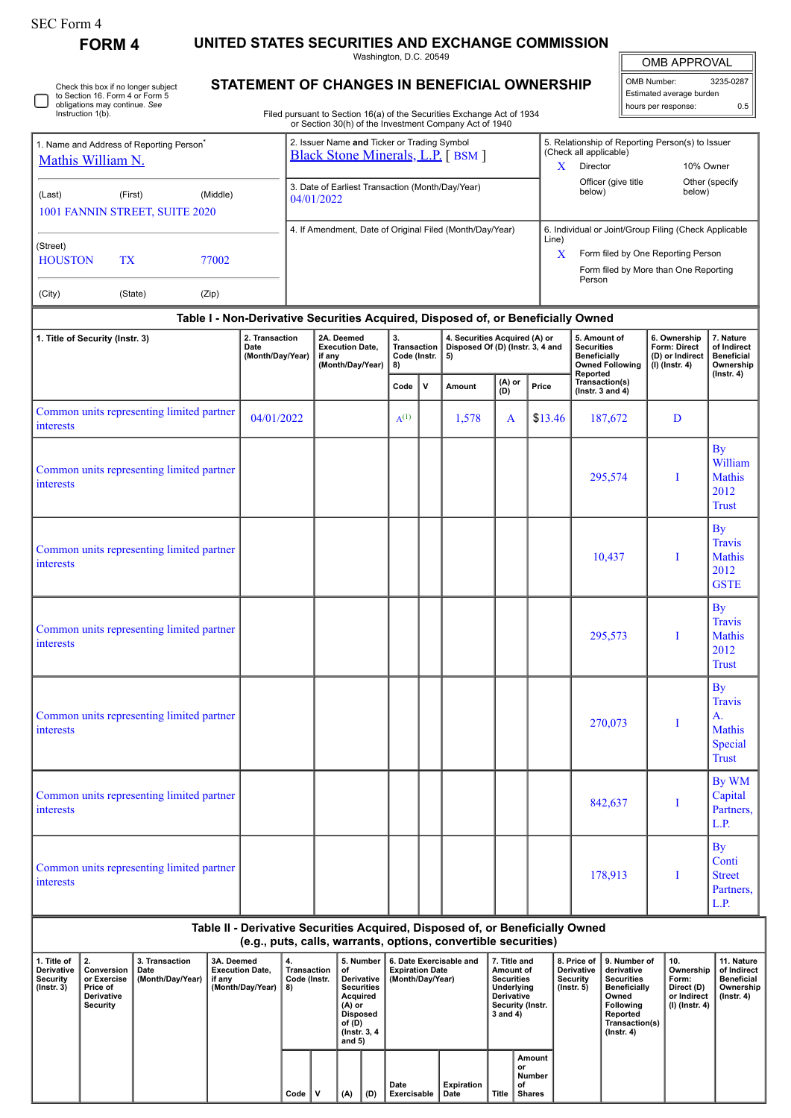| SEC Form 4 |
|------------|
|------------|

Check this box if no longer subject

**FORM 4 UNITED STATES SECURITIES AND EXCHANGE COMMISSION**

Washington, D.C. 20549

OMB APPROVAL

 $\mathbb{F}$ 

|  | OMB Number:<br>3235-0287<br>Estimated average burden |     |  |  |  |  |  |  |
|--|------------------------------------------------------|-----|--|--|--|--|--|--|
|  |                                                      |     |  |  |  |  |  |  |
|  | hours per response:                                  | ሰ ፣ |  |  |  |  |  |  |

Trust

By WM Capital Partners, L.P.

By Conti Street Partners, L.P.

By Travis A. Mathis Special Trust

**STATEMENT OF CHANGES IN BENEFICIAL OWNERSHIP**

| Instruction 1(b).                                                                                                                                                                                                                                                                                                                                                                              | to Section 16. Form 4 or Form 5<br>obligations may continue. See | Filed pursuant to Section 16(a) of the Securities Exchange Act of 1934<br>or Section 30(h) of the Investment Company Act of 1940 |                                            |                                                                                         |                                                                    |                                                |              |                                                                         | Estimated average burden<br>hours per response: |              | 0.5                                                                                |                                                                                           |                                                                     |                                                             |
|------------------------------------------------------------------------------------------------------------------------------------------------------------------------------------------------------------------------------------------------------------------------------------------------------------------------------------------------------------------------------------------------|------------------------------------------------------------------|----------------------------------------------------------------------------------------------------------------------------------|--------------------------------------------|-----------------------------------------------------------------------------------------|--------------------------------------------------------------------|------------------------------------------------|--------------|-------------------------------------------------------------------------|-------------------------------------------------|--------------|------------------------------------------------------------------------------------|-------------------------------------------------------------------------------------------|---------------------------------------------------------------------|-------------------------------------------------------------|
| 1. Name and Address of Reporting Person <sup>®</sup><br>Mathis William N.                                                                                                                                                                                                                                                                                                                      |                                                                  |                                                                                                                                  |                                            | 2. Issuer Name and Ticker or Trading Symbol<br><b>Black Stone Minerals, L.P.</b> [BSM ] |                                                                    |                                                |              |                                                                         |                                                 | $\mathbf{X}$ | (Check all applicable)<br>Director                                                 | 5. Relationship of Reporting Person(s) to Issuer<br>10% Owner<br>Other (specify<br>below) |                                                                     |                                                             |
| (Middle)<br>(First)<br>(Last)<br>1001 FANNIN STREET, SUITE 2020                                                                                                                                                                                                                                                                                                                                |                                                                  |                                                                                                                                  |                                            | 3. Date of Earliest Transaction (Month/Day/Year)<br>04/01/2022                          |                                                                    |                                                |              |                                                                         |                                                 |              | Officer (give title<br>below)                                                      |                                                                                           |                                                                     |                                                             |
| 4. If Amendment, Date of Original Filed (Month/Day/Year)<br>6. Individual or Joint/Group Filing (Check Applicable<br>Line)<br>(Street)<br>X<br>Form filed by One Reporting Person<br><b>HOUSTON</b><br><b>TX</b><br>77002<br>Form filed by More than One Reporting<br>Person<br>(City)<br>(State)<br>(Zip)<br>Table I - Non-Derivative Securities Acquired, Disposed of, or Beneficially Owned |                                                                  |                                                                                                                                  |                                            |                                                                                         |                                                                    |                                                |              |                                                                         |                                                 |              |                                                                                    |                                                                                           |                                                                     |                                                             |
| 1. Title of Security (Instr. 3)                                                                                                                                                                                                                                                                                                                                                                |                                                                  |                                                                                                                                  | 2. Transaction<br>Date<br>(Month/Day/Year) |                                                                                         | 2A. Deemed<br><b>Execution Date,</b><br>if any<br>(Month/Day/Year) | 3.<br><b>Transaction</b><br>Code (Instr.<br>8) |              | 4. Securities Acquired (A) or<br>Disposed Of (D) (Instr. 3, 4 and<br>5) |                                                 |              | 5. Amount of<br><b>Securities</b><br><b>Beneficially</b><br><b>Owned Following</b> |                                                                                           | 6. Ownership<br>Form: Direct<br>(D) or Indirect<br>$(I)$ (lnstr. 4) | 7. Nature<br>of Indirect<br><b>Beneficial</b><br>Ownership  |
|                                                                                                                                                                                                                                                                                                                                                                                                |                                                                  |                                                                                                                                  |                                            |                                                                                         |                                                                    | Code                                           | $\mathsf{v}$ | Amount                                                                  | (A) or<br>(D)                                   | Price        | Reported<br>Transaction(s)<br>( $lnstr. 3 and 4$ )                                 |                                                                                           |                                                                     | $($ lnstr. 4 $)$                                            |
| interests                                                                                                                                                                                                                                                                                                                                                                                      | Common units representing limited partner                        |                                                                                                                                  | 04/01/2022                                 |                                                                                         |                                                                    | $A^{(1)}$                                      |              | 1,578                                                                   | A                                               | \$13.46      | 187,672                                                                            |                                                                                           | D                                                                   |                                                             |
| interests                                                                                                                                                                                                                                                                                                                                                                                      | Common units representing limited partner                        |                                                                                                                                  |                                            |                                                                                         |                                                                    |                                                |              |                                                                         |                                                 |              | 295,574                                                                            |                                                                                           | T                                                                   | By<br>William<br><b>Mathis</b><br>2012<br><b>Trust</b>      |
| interests                                                                                                                                                                                                                                                                                                                                                                                      | Common units representing limited partner                        |                                                                                                                                  |                                            |                                                                                         |                                                                    |                                                |              |                                                                         |                                                 |              | 10,437                                                                             |                                                                                           | I                                                                   | By<br><b>Travis</b><br><b>Mathis</b><br>2012<br><b>GSTE</b> |
| interests                                                                                                                                                                                                                                                                                                                                                                                      | Common units representing limited partner                        |                                                                                                                                  |                                            |                                                                                         |                                                                    |                                                |              |                                                                         |                                                 |              | 295,573                                                                            |                                                                                           | T                                                                   | <b>By</b><br><b>Travis</b><br><b>Mathis</b><br>2012         |

| Common units representing limited partner<br>interests |  |  |  | 270,073 |  |
|--------------------------------------------------------|--|--|--|---------|--|
| Common units representing limited partner<br>interests |  |  |  | 842,637 |  |
| Common units representing limited partner<br>interests |  |  |  | 178,913 |  |

**Table II - Derivative Securities Acquired, Disposed of, or Beneficially Owned (e.g., puts, calls, warrants, options, convertible securities) 1. Title of Derivative Security (Instr. 3) 2. Conversion or Exercise Price of Derivative Security 3. Transaction Date (Month/Day/Year) 3A. Deemed Execution Date, if any (Month/Day/Year) 4. Transaction Code (Instr. 8) 5. Number of Derivative Securities Acquired (A) or Disposed of (D) (Instr. 3, 4 and 5) 6. Date Exercisable and Expiration Date (Month/Day/Year) 7. Title and Amount of Securities Underlying Derivative Security (Instr. 3 and 4) 8. Price of Derivative Security (Instr. 5) 9. Number of derivative Securities Beneficially Owned Following Reported Transaction(s) (Instr. 4) 10. Ownership Form: Direct (D) or Indirect (I) (Instr. 4) 11. Nature of Indirect Beneficial Ownership (Instr. 4) Code V (A) (D) Date Exercisable Expiration Title Amount or Number of Shares**